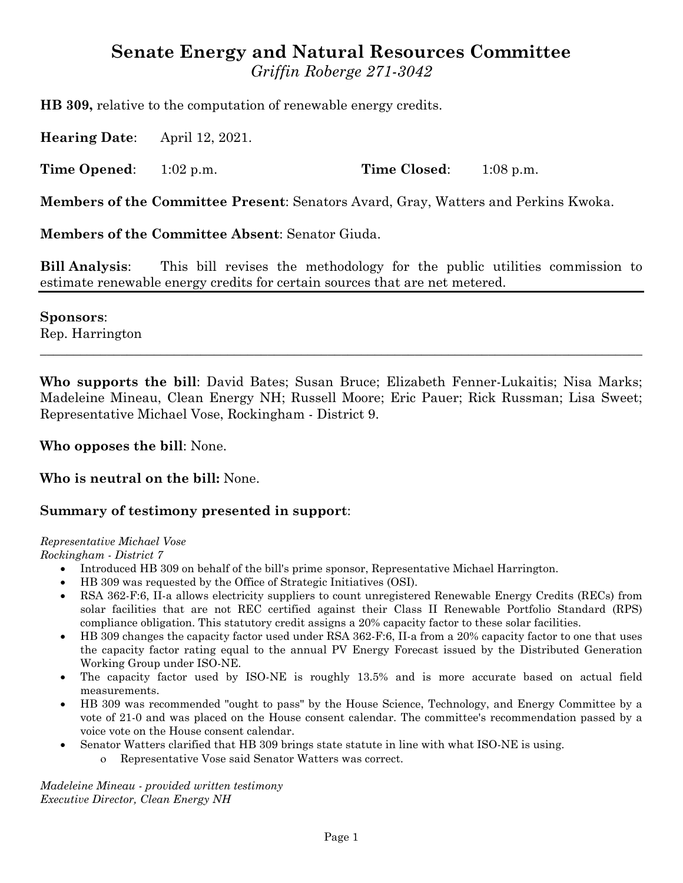# **Senate Energy and Natural Resources Committee** *Griffin Roberge 271-3042*

**HB 309,** relative to the computation of renewable energy credits.

**Hearing Date**: April 12, 2021.

**Time Opened:** 1:02 p.m. **Time Closed:** 1:08 p.m.

**Members of the Committee Present**: Senators Avard, Gray, Watters and Perkins Kwoka.

**Members of the Committee Absent**: Senator Giuda.

**Bill Analysis**: This bill revises the methodology for the public utilities commission to estimate renewable energy credits for certain sources that are net metered.

**Sponsors**:

Rep. Harrington  $\_$  , and the set of the set of the set of the set of the set of the set of the set of the set of the set of the set of the set of the set of the set of the set of the set of the set of the set of the set of the set of th

**Who supports the bill**: David Bates; Susan Bruce; Elizabeth Fenner-Lukaitis; Nisa Marks; Madeleine Mineau, Clean Energy NH; Russell Moore; Eric Pauer; Rick Russman; Lisa Sweet; Representative Michael Vose, Rockingham - District 9.

**Who opposes the bill**: None.

**Who is neutral on the bill:** None.

### **Summary of testimony presented in support**:

#### *Representative Michael Vose*

*Rockingham - District 7*

- · Introduced HB 309 on behalf of the bill's prime sponsor, Representative Michael Harrington.
- · HB 309 was requested by the Office of Strategic Initiatives (OSI).
- · RSA 362-F:6, II-a allows electricity suppliers to count unregistered Renewable Energy Credits (RECs) from solar facilities that are not REC certified against their Class II Renewable Portfolio Standard (RPS) compliance obligation. This statutory credit assigns a 20% capacity factor to these solar facilities.
- · HB 309 changes the capacity factor used under RSA 362-F:6, II-a from a 20% capacity factor to one that uses the capacity factor rating equal to the annual PV Energy Forecast issued by the Distributed Generation Working Group under ISO-NE.
- · The capacity factor used by ISO-NE is roughly 13.5% and is more accurate based on actual field measurements.
- HB 309 was recommended "ought to pass" by the House Science, Technology, and Energy Committee by a vote of 21-0 and was placed on the House consent calendar. The committee's recommendation passed by a voice vote on the House consent calendar.
- Senator Watters clarified that HB 309 brings state statute in line with what ISO-NE is using.
	- o Representative Vose said Senator Watters was correct.

*Madeleine Mineau - provided written testimony Executive Director, Clean Energy NH*